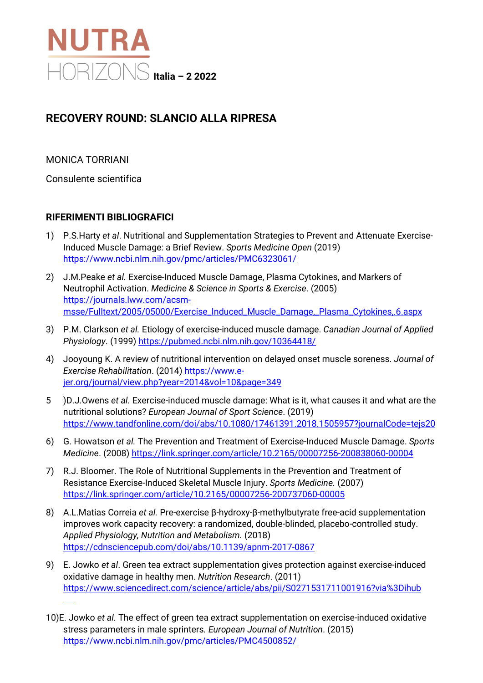

## **RECOVERY ROUND: SLANCIO ALLA RIPRESA**

MONICA TORRIANI

Consulente scientifica

## **RIFERIMENTI BIBLIOGRAFICI**

- 1) P.S.Harty *et al*. Nutritional and Supplementation Strategies to Prevent and Attenuate Exercise-Induced Muscle Damage: a Brief Review. *Sports Medicine Open* (2019) <https://www.ncbi.nlm.nih.gov/pmc/articles/PMC6323061/>
- 2) J.M.Peake *et al.* Exercise-Induced Muscle Damage, Plasma Cytokines, and Markers of Neutrophil Activation. *Medicine & Science in Sports & Exercise*. (2005) [https://journals.lww.com/acsm](https://journals.lww.com/acsm-msse/Fulltext/2005/05000/Exercise_Induced_Muscle_Damage,_Plasma_Cytokines,.6.aspx)[msse/Fulltext/2005/05000/Exercise\\_Induced\\_Muscle\\_Damage,\\_Plasma\\_Cytokines,.6.aspx](https://journals.lww.com/acsm-msse/Fulltext/2005/05000/Exercise_Induced_Muscle_Damage,_Plasma_Cytokines,.6.aspx)
- 3) P.M. Clarkson *et al.* Etiology of exercise-induced muscle damage. *Canadian Journal of Applied Physiology*. (1999[\) https://pubmed.ncbi.nlm.nih.gov/10364418/](https://pubmed.ncbi.nlm.nih.gov/10364418/)
- 4) Jooyoung K. A review of nutritional intervention on delayed onset muscle soreness. *Journal of Exercise Rehabilitation*. (2014) [https://www.e](https://www.e-jer.org/journal/view.php?year=2014&vol=10&page=349)[jer.org/journal/view.php?year=2014&vol=10&page=349](https://www.e-jer.org/journal/view.php?year=2014&vol=10&page=349)
- 5 )D.J.Owens *et al.* Exercise-induced muscle damage: What is it, what causes it and what are the nutritional solutions? *European Journal of Sport Science*. (2019) <https://www.tandfonline.com/doi/abs/10.1080/17461391.2018.1505957?journalCode=tejs20>
- 6) G. Howatson *et al.* The Prevention and Treatment of Exercise-Induced Muscle Damage. *Sports Medicine*. (2008)<https://link.springer.com/article/10.2165/00007256-200838060-00004>
- 7) R.J. Bloomer. The Role of Nutritional Supplements in the Prevention and Treatment of Resistance Exercise-Induced Skeletal Muscle Injury. *Sports Medicine.* (2007) <https://link.springer.com/article/10.2165/00007256-200737060-00005>
- 8) A.L.Matias Correia *et al.* Pre-exercise β-hydroxy-β-methylbutyrate free-acid supplementation improves work capacity recovery: a randomized, double-blinded, placebo-controlled study. *Applied Physiology, Nutrition and Metabolism.* (2018) <https://cdnsciencepub.com/doi/abs/10.1139/apnm-2017-0867>
- 9) E. Jowko *et al*. Green tea extract supplementation gives protection against exercise-induced oxidative damage in healthy men. *Nutrition Research*. (2011) <https://www.sciencedirect.com/science/article/abs/pii/S0271531711001916?via%3Dihub>
- 10)E. Jowko *et al.* The effect of green tea extract supplementation on exercise-induced oxidative stress parameters in male sprinters*. European Journal of Nutrition*. (2015) <https://www.ncbi.nlm.nih.gov/pmc/articles/PMC4500852/>